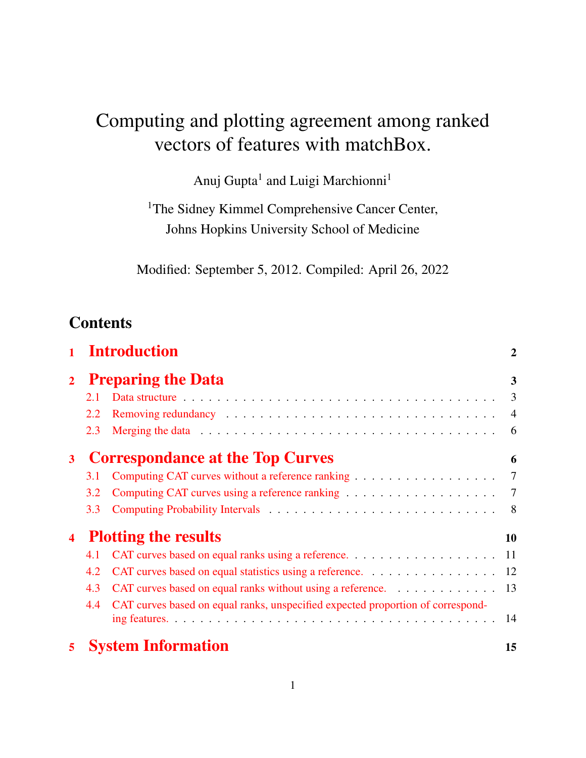# Computing and plotting agreement among ranked vectors of features with matchBox.

Anuj Gupta<sup>1</sup> and Luigi Marchionni<sup>1</sup>

<sup>1</sup>The Sidney Kimmel Comprehensive Cancer Center, Johns Hopkins University School of Medicine

Modified: September 5, 2012. Compiled: April 26, 2022

# **Contents**

|                         |                                         | <b>Introduction</b>                                                             | $\overline{2}$ |  |  |
|-------------------------|-----------------------------------------|---------------------------------------------------------------------------------|----------------|--|--|
| $\overline{2}$          | <b>Preparing the Data</b>               |                                                                                 |                |  |  |
|                         | 2.1                                     |                                                                                 | $\overline{3}$ |  |  |
|                         | 2.2                                     |                                                                                 | $\overline{4}$ |  |  |
|                         | 2.3                                     |                                                                                 | 6              |  |  |
| $\overline{\mathbf{3}}$ | <b>Correspondance at the Top Curves</b> |                                                                                 |                |  |  |
|                         | 3.1                                     | Computing CAT curves without a reference ranking 7                              |                |  |  |
|                         | 3.2                                     |                                                                                 | $\overline{7}$ |  |  |
|                         | 3.3                                     |                                                                                 | $\sim$ 8       |  |  |
| $\overline{\mathbf{4}}$ | <b>Plotting the results</b>             |                                                                                 |                |  |  |
|                         | 4.1                                     | CAT curves based on equal ranks using a reference. 11                           |                |  |  |
|                         | 4.2                                     | CAT curves based on equal statistics using a reference. 12                      |                |  |  |
|                         | 4.3                                     | CAT curves based on equal ranks without using a reference. 13                   |                |  |  |
|                         | 4.4                                     | CAT curves based on equal ranks, unspecified expected proportion of correspond- |                |  |  |
|                         |                                         |                                                                                 |                |  |  |
| 5                       |                                         | <b>System Information</b>                                                       | 15             |  |  |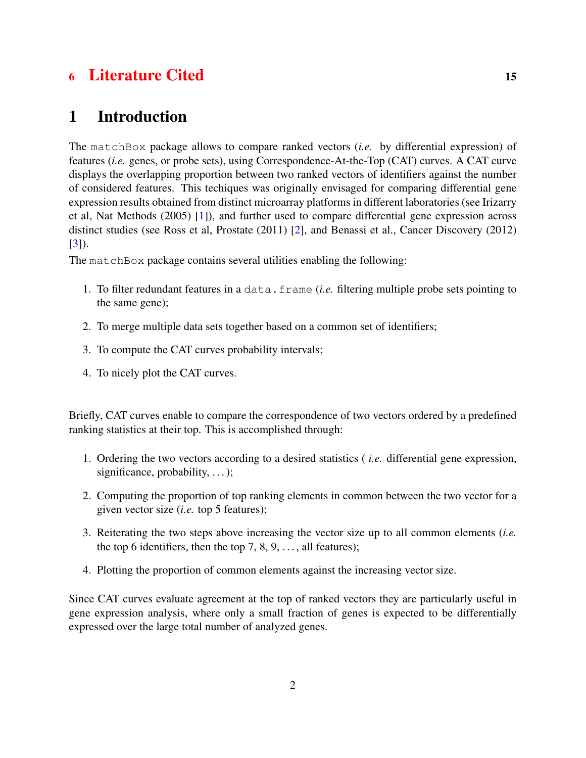# 6 [Literature Cited](#page-14-1) 15

# <span id="page-1-0"></span>1 Introduction

The matchBox package allows to compare ranked vectors (*i.e.* by differential expression) of features (*i.e.* genes, or probe sets), using Correspondence-At-the-Top (CAT) curves. A CAT curve displays the overlapping proportion between two ranked vectors of identifiers against the number of considered features. This techiques was originally envisaged for comparing differential gene expression results obtained from distinct microarray platforms in different laboratories (see Irizarry et al, Nat Methods (2005) [\[1\]](#page-14-2)), and further used to compare differential gene expression across distinct studies (see Ross et al, Prostate (2011) [\[2\]](#page-14-3), and Benassi et al., Cancer Discovery (2012) [\[3\]](#page-14-4)).

The matchBox package contains several utilities enabling the following:

- 1. To filter redundant features in a data.frame (*i.e.* filtering multiple probe sets pointing to the same gene);
- 2. To merge multiple data sets together based on a common set of identifiers;
- 3. To compute the CAT curves probability intervals;
- 4. To nicely plot the CAT curves.

Briefly, CAT curves enable to compare the correspondence of two vectors ordered by a predefined ranking statistics at their top. This is accomplished through:

- 1. Ordering the two vectors according to a desired statistics ( *i.e.* differential gene expression, significance, probability,  $\dots$ ;
- 2. Computing the proportion of top ranking elements in common between the two vector for a given vector size (*i.e.* top 5 features);
- 3. Reiterating the two steps above increasing the vector size up to all common elements (*i.e.* the top 6 identifiers, then the top 7, 8, 9,  $\dots$ , all features);
- 4. Plotting the proportion of common elements against the increasing vector size.

Since CAT curves evaluate agreement at the top of ranked vectors they are particularly useful in gene expression analysis, where only a small fraction of genes is expected to be differentially expressed over the large total number of analyzed genes.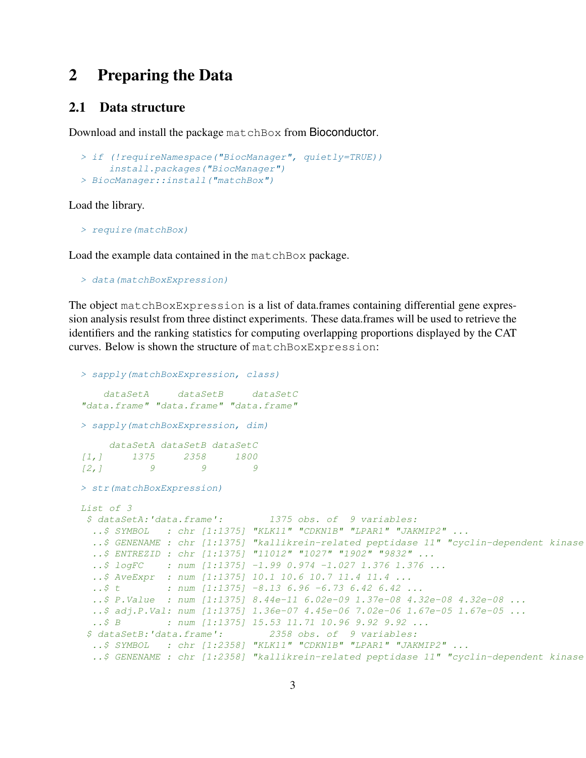# <span id="page-2-0"></span>2 Preparing the Data

#### <span id="page-2-1"></span>2.1 Data structure

Download and install the package matchBox from Bioconductor.

```
> if (!requireNamespace("BiocManager", quietly=TRUE))
     install.packages("BiocManager")
> BiocManager::install("matchBox")
```
Load the library.

> require(matchBox)

Load the example data contained in the matchBox package.

```
> data(matchBoxExpression)
```
The object matchBoxExpression is a list of data.frames containing differential gene expression analysis resulst from three distinct experiments. These data.frames will be used to retrieve the identifiers and the ranking statistics for computing overlapping proportions displayed by the CAT curves. Below is shown the structure of matchBoxExpression:

```
> sapply(matchBoxExpression, class)
    dataSetA dataSetB dataSetC
"data.frame" "data.frame" "data.frame"
> sapply(matchBoxExpression, dim)
    dataSetA dataSetB dataSetC
[1,] 1375 2358 1800
[2,1 9 9 9
> str(matchBoxExpression)
List of 3
$ dataSetA:'data.frame': 1375 obs. of 9 variables:
  ..$ SYMBOL : chr [1:1375] "KLK11" "CDKN1B" "LPAR1" "JAKMIP2" ...
  ..$ GENENAME : chr [1:1375] "kallikrein-related peptidase 11" "cyclin-dependent kinase
  ..$ ENTREZID : chr [1:1375] "11012" "1027" "1902" "9832" ...
  \ldots$ logFC : num [1:1375] -1.99 0.974 -1.027 1.376 1.376 ...
  ..$ AveExpr : num [1:1375] 10.1 10.6 10.7 11.4 11.4 ...
  \ldots$ t : num [1:1375] -8.13 6.96 -6.73 6.42 6.42 ...
  ..$ P.Value : num [1:1375] 8.44e-11 6.02e-09 1.37e-08 4.32e-08 4.32e-08 ...
  ..$ adj.P.Val: num [1:1375] 1.36e-07 4.45e-06 7.02e-06 1.67e-05 1.67e-05 ...
  ..$ B : num [1:1375] 15.53 11.71 10.96 9.92 9.92 ...
 $ dataSetB:'data.frame': 2358 obs. of 9 variables:
  ..$ SYMBOL : chr [1:2358] "KLK11" "CDKN1B" "LPAR1" "JAKMIP2" ...
  ..$ GENENAME : chr [1:2358] "kallikrein-related peptidase 11" "cyclin-dependent kinase
```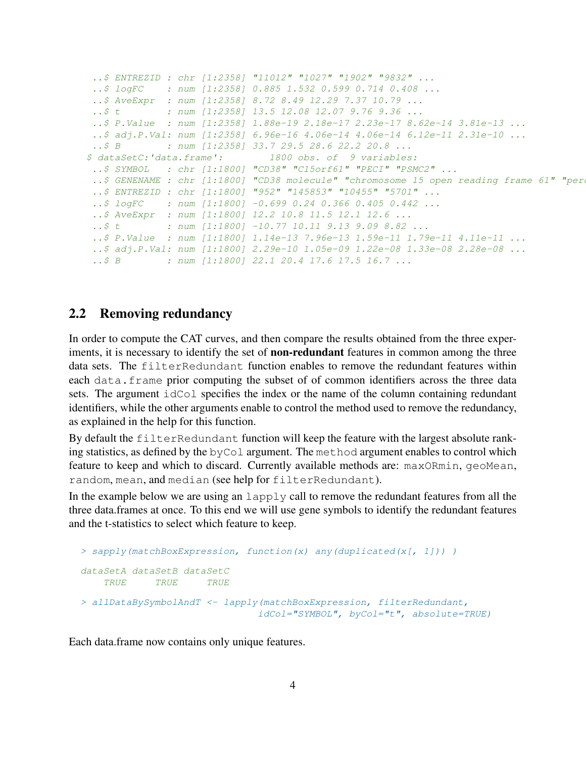```
..$ ENTREZID : chr [1:2358] "11012" "1027" "1902" "9832" ...
 ..$ logFC : num [1:2358] 0.885 1.532 0.599 0.714 0.408 ...
 ..$ AveExpr : num [1:2358] 8.72 8.49 12.29 7.37 10.79 ...
 ..$ t : num [1:2358] 13.5 12.08 12.07 9.76 9.36 ...
 ..$ P.Value : num [1:2358] 1.88e-19 2.18e-17 2.23e-17 8.62e-14 3.81e-13 ...
 ..$ adj.P.Val: num [1:2358] 6.96e-16 4.06e-14 4.06e-14 6.12e-11 2.31e-10 ...
..$ B : num [1:2358] 33.7 29.5 28.6 22.2 20.8 ...
$ dataSetC:'data.frame': 1800 obs. of 9 variables:
..$ SYMBOL : chr [1:1800] "CD38" "C15orf61" "PECI" "PSMC2" ...
 ..$ GENENAME : chr [1:1800] "CD38 molecule" "chromosome 15 open reading frame 61" "per
 ..$ ENTREZID : chr [1:1800] "952" "145853" "10455" "5701" ...
 ..$ logFC : num [1:1800] -0.699 0.24 0.366 0.405 0.442 ...
 ..$ AveExpr : num [1:1800] 12.2 10.8 11.5 12.1 12.6 ...
 ..$ t : num [1:1800] -10.77 10.11 9.13 9.09 8.82 ...
 ..$ P.Value : num [1:1800] 1.14e-13 7.96e-13 1.59e-11 1.79e-11 4.11e-11 ...
 ..$ adj.P.Val: num [1:1800] 2.29e-10 1.05e-09 1.22e-08 1.33e-08 2.28e-08 ...
 ..$ B : num [1:1800] 22.1 20.4 17.6 17.5 16.7 ...
```
#### <span id="page-3-0"></span>2.2 Removing redundancy

In order to compute the CAT curves, and then compare the results obtained from the three experiments, it is necessary to identify the set of **non-redundant** features in common among the three data sets. The filterRedundant function enables to remove the redundant features within each data.frame prior computing the subset of of common identifiers across the three data sets. The argument idCol specifies the index or the name of the column containing redundant identifiers, while the other arguments enable to control the method used to remove the redundancy, as explained in the help for this function.

By default the filterRedundant function will keep the feature with the largest absolute ranking statistics, as defined by the byCol argument. The method argument enables to control which feature to keep and which to discard. Currently available methods are: maxORmin, geoMean, random, mean, and median (see help for filterRedundant).

In the example below we are using an  $l$  apply call to remove the redundant features from all the three data.frames at once. To this end we will use gene symbols to identify the redundant features and the t-statistics to select which feature to keep.

```
> sapply(matchBoxExpression, function(x) any(duplicated(x[, 1])) )
dataSetA dataSetB dataSetC
   TRUE TRUE TRUE
> allDataBySymbolAndT <- lapply(matchBoxExpression, filterRedundant,
                              idCol="SYMBOL", byCol="t", absolute=TRUE)
```
Each data.frame now contains only unique features.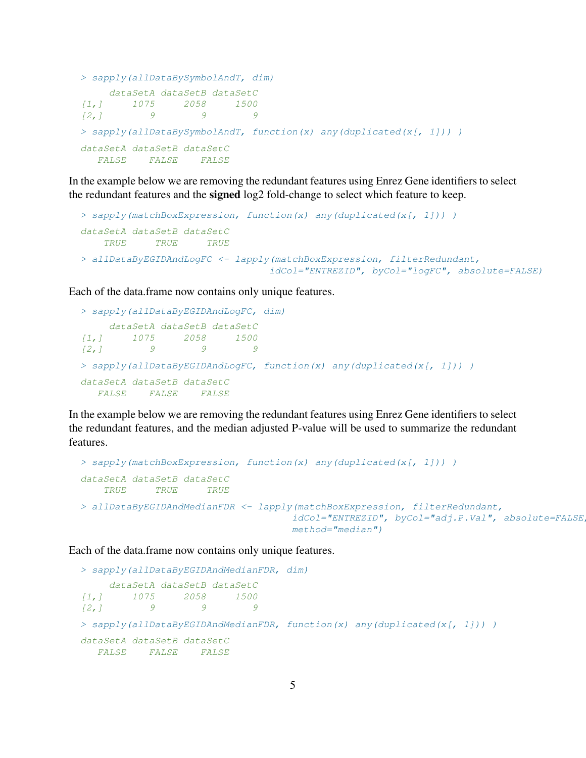```
> sapply(allDataBySymbolAndT, dim)
   dataSetA dataSetB dataSetC
[1,] 1075 2058 1500
[2, 1 9 9 9
> sapply(allDataBySymbolAndT, function(x) any(duplicated(x[, 1])) )
dataSetA dataSetB dataSetC
  FALSE FALSE FALSE
```
In the example below we are removing the redundant features using Enrez Gene identifiers to select the redundant features and the signed log2 fold-change to select which feature to keep.

```
> sapply(matchBoxExpression, function(x) any(duplicated(x[, 1])) )
dataSetA dataSetB dataSetC
   TRUE TRUE TRUE
> allDataByEGIDAndLogFC <- lapply(matchBoxExpression, filterRedundant,
                                idCol="ENTREZID", byCol="logFC", absolute=FALSE)
```
Each of the data.frame now contains only unique features.

```
> sapply(allDataByEGIDAndLogFC, dim)
    dataSetA dataSetB dataSetC
[1,] 1075 2058 1500
[2, 1 \qquad 9 \qquad 9 \qquad 9> sapply(allDataByEGIDAndLogFC, function(x) any(duplicated(x[, 1])) )
dataSetA dataSetB dataSetC
  FALSE FALSE FALSE
```
In the example below we are removing the redundant features using Enrez Gene identifiers to select the redundant features, and the median adjusted P-value will be used to summarize the redundant features.

```
> sapply(matchBoxExpression, function(x) any(duplicated(x[, 1])) )
dataSetA dataSetB dataSetC
   TRUE TRUE TRUE
> allDataByEGIDAndMedianFDR <- lapply(matchBoxExpression, filterRedundant,
                                    idCol="ENTREZID", byCol="adj.P.Val", absolute=FALSE,
                                    method="median")
```
Each of the data.frame now contains only unique features.

```
> sapply(allDataByEGIDAndMedianFDR, dim)
    dataSetA dataSetB dataSetC
[1,] 1075 2058 1500
[2, 1 \qquad 9 \qquad 9 \qquad 9> sapply(allDataByEGIDAndMedianFDR, function(x) any(duplicated(x[, 1])) )
dataSetA dataSetB dataSetC
  FALSE FALSE FALSE
```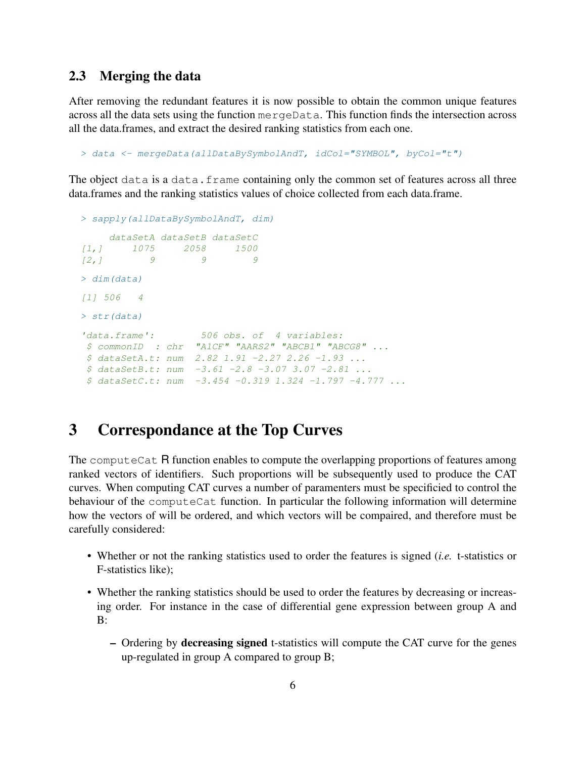#### <span id="page-5-0"></span>2.3 Merging the data

After removing the redundant features it is now possible to obtain the common unique features across all the data sets using the function mergeData. This function finds the intersection across all the data.frames, and extract the desired ranking statistics from each one.

```
> data <- mergeData(allDataBySymbolAndT, idCol="SYMBOL", byCol="t")
```
The object data is a data.frame containing only the common set of features across all three data.frames and the ranking statistics values of choice collected from each data.frame.

```
> sapply(allDataBySymbolAndT, dim)
    dataSetA dataSetB dataSetC
[1,] 1075 2058 1500
[2,1 9 9 9
> dim(data)
[1] 506 4
> str(data)
'data.frame': 506 obs. of 4 variables:
$ commonID : chr "A1CF" "AARS2" "ABCB1" "ABCG8" ...
$ dataSetA.t: num 2.82 1.91 -2.27 2.26 -1.93 ...
$ dataSetB.t: num -3.61 -2.8 -3.07 3.07 -2.81 ...
$ dataSetC.t: num -3.454 -0.319 1.324 -1.797 -4.777 ...
```
# <span id="page-5-1"></span>3 Correspondance at the Top Curves

The computeCat R function enables to compute the overlapping proportions of features among ranked vectors of identifiers. Such proportions will be subsequently used to produce the CAT curves. When computing CAT curves a number of paramenters must be specificied to control the behaviour of the computeCat function. In particular the following information will determine how the vectors of will be ordered, and which vectors will be compaired, and therefore must be carefully considered:

- Whether or not the ranking statistics used to order the features is signed (*i.e.* t-statistics or F-statistics like);
- Whether the ranking statistics should be used to order the features by decreasing or increasing order. For instance in the case of differential gene expression between group A and B:
	- Ordering by decreasing signed t-statistics will compute the CAT curve for the genes up-regulated in group A compared to group B;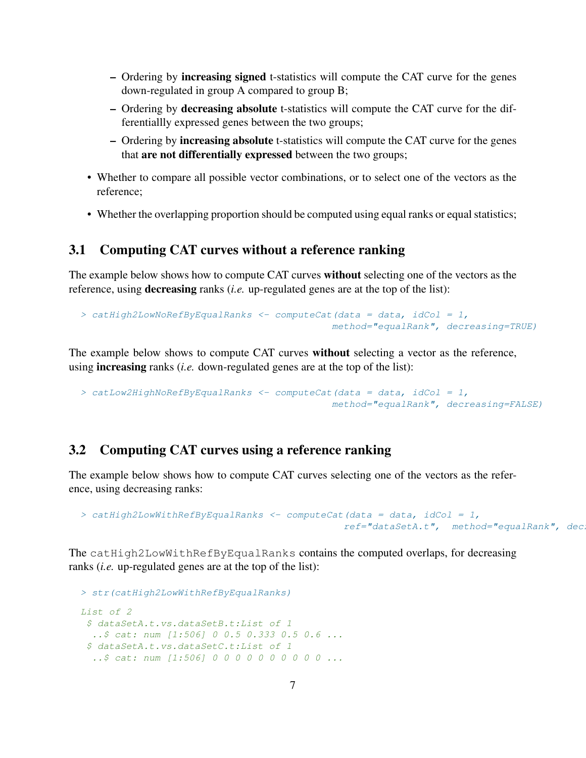- Ordering by increasing signed t-statistics will compute the CAT curve for the genes down-regulated in group A compared to group B;
- Ordering by decreasing absolute t-statistics will compute the CAT curve for the differentiallly expressed genes between the two groups;
- Ordering by increasing absolute t-statistics will compute the CAT curve for the genes that are not differentially expressed between the two groups;
- Whether to compare all possible vector combinations, or to select one of the vectors as the reference;
- Whether the overlapping proportion should be computed using equal ranks or equal statistics;

#### <span id="page-6-0"></span>3.1 Computing CAT curves without a reference ranking

The example below shows how to compute CAT curves without selecting one of the vectors as the reference, using decreasing ranks (*i.e.* up-regulated genes are at the top of the list):

```
> catHigh2LowNoRefByEqualRanks <- computeCat(data = data, idCol = 1,
                                           method="equalRank", decreasing=TRUE)
```
The example below shows to compute CAT curves without selecting a vector as the reference, using increasing ranks (*i.e.* down-regulated genes are at the top of the list):

```
> catLow2HighNoRefByEqualRanks \leq computeCat(data = data, idCol = 1,
                                            method="equalRank", decreasing=FALSE)
```
#### <span id="page-6-1"></span>3.2 Computing CAT curves using a reference ranking

The example below shows how to compute CAT curves selecting one of the vectors as the reference, using decreasing ranks:

```
> catHigh2LowWithRefByEqualRanks <- computeCat(data = data, idCol = 1,
                                             ref="dataSetA.t", method="equalRank", dec
```
The catHigh2LowWithRefByEqualRanks contains the computed overlaps, for decreasing ranks (*i.e.* up-regulated genes are at the top of the list):

```
> str(catHigh2LowWithRefByEqualRanks)
List of 2
 $ dataSetA.t.vs.dataSetB.t:List of 1
 ..$ cat: num [1:506] 0 0.5 0.333 0.5 0.6 ...
 $ dataSetA.t.vs.dataSetC.t:List of 1
  ..$ cat: num [1:506] 0 0 0 0 0 0 0 0 0 0 ...
```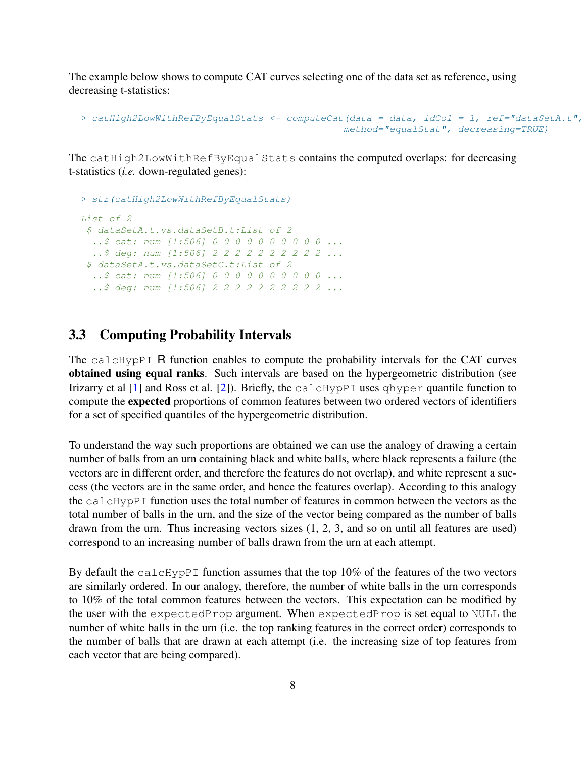The example below shows to compute CAT curves selecting one of the data set as reference, using decreasing t-statistics:

```
> catHigh2LowWithRefByEqualStats \leq computeCat(data = data, idCol = 1, ref="dataSetA.t",
                                              method="equalStat", decreasing=TRUE)
```
The catHigh2LowWithRefByEqualStats contains the computed overlaps: for decreasing t-statistics (*i.e.* down-regulated genes):

```
> str(catHigh2LowWithRefByEqualStats)
List of 2
$ dataSetA.t.vs.dataSetB.t:List of 2
  ..$ cat: num [1:506] 0 0 0 0 0 0 0 0 0 0 ...
  ..$ deg: num [1:506] 2 2 2 2 2 2 2 2 2 2 ...
 $ dataSetA.t.vs.dataSetC.t:List of 2
  ..$ cat: num [1:506] 0 0 0 0 0 0 0 0 0 0 ...
  ..$ deg: num [1:506] 2 2 2 2 2 2 2 2 2 2 ...
```
#### <span id="page-7-0"></span>3.3 Computing Probability Intervals

The calcHypPI R function enables to compute the probability intervals for the CAT curves obtained using equal ranks. Such intervals are based on the hypergeometric distribution (see Irizarry et al [\[1\]](#page-14-2) and Ross et al. [\[2\]](#page-14-3)). Briefly, the calcHypPI uses qhyper quantile function to compute the expected proportions of common features between two ordered vectors of identifiers for a set of specified quantiles of the hypergeometric distribution.

To understand the way such proportions are obtained we can use the analogy of drawing a certain number of balls from an urn containing black and white balls, where black represents a failure (the vectors are in different order, and therefore the features do not overlap), and white represent a success (the vectors are in the same order, and hence the features overlap). According to this analogy the calcHypPI function uses the total number of features in common between the vectors as the total number of balls in the urn, and the size of the vector being compared as the number of balls drawn from the urn. Thus increasing vectors sizes (1, 2, 3, and so on until all features are used) correspond to an increasing number of balls drawn from the urn at each attempt.

By default the calcHypPI function assumes that the top 10% of the features of the two vectors are similarly ordered. In our analogy, therefore, the number of white balls in the urn corresponds to 10% of the total common features between the vectors. This expectation can be modified by the user with the expectedProp argument. When expectedProp is set equal to NULL the number of white balls in the urn (i.e. the top ranking features in the correct order) corresponds to the number of balls that are drawn at each attempt (i.e. the increasing size of top features from each vector that are being compared).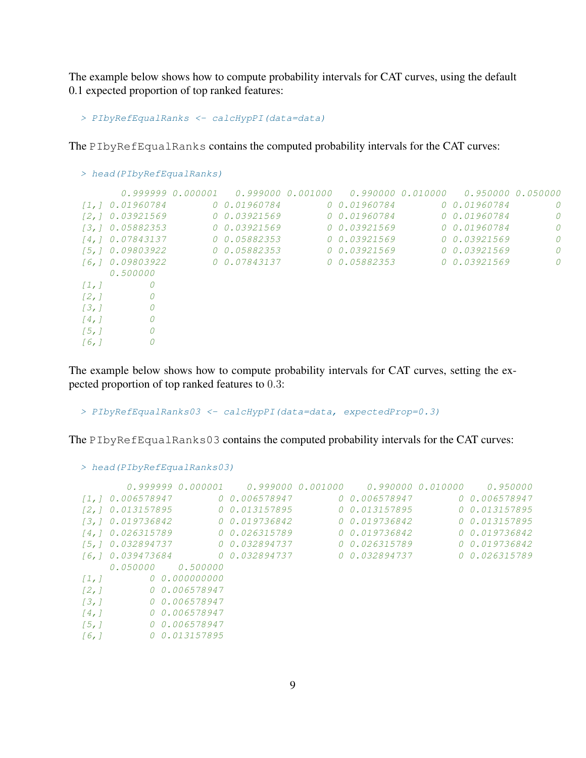The example below shows how to compute probability intervals for CAT curves, using the default 0.1 expected proportion of top ranked features:

```
> PIbyRefEqualRanks <- calcHypPI(data=data)
```
The PIbyRefEqualRanks contains the computed probability intervals for the CAT curves:

|                      | > head (PIbyRefEqualRanks) |               |               |                                     |          |
|----------------------|----------------------------|---------------|---------------|-------------------------------------|----------|
|                      |                            |               |               | 0.990000 0.010000 0.950000 0.050000 |          |
|                      | [1,] 0.01960784            | 0 0.01960784  | 0 0.01960784  | 0 0.01960784                        | $\Omega$ |
|                      | [2, 1 0.03921569]          | 0, 0.03921569 | 0 0.01960784  | 0 0.01960784                        | $\Omega$ |
|                      | [3, 1, 0.05882353]         | 0 0.03921569  | 0, 0.03921569 | 0 0.01960784                        | $\Omega$ |
|                      | [4, ] 0.07843137           | 0 0.05882353  | 0, 0.03921569 | 0, 0.03921569                       | 0        |
|                      | [5, ] 0.09803922           | 0 0.05882353  | 0, 0.03921569 | 0.0.03921569                        | $\Omega$ |
|                      | [6, ] 0.09803922           | 0 0.07843137  | 0 0.05882353  | 0.0.03921569                        | $\theta$ |
|                      | 0.500000                   |               |               |                                     |          |
| $\lceil 1, 1 \rceil$ | 0                          |               |               |                                     |          |
| [2,]                 | 0                          |               |               |                                     |          |
| 13,1                 | 0                          |               |               |                                     |          |
| $\lceil 4, \rceil$   | 0                          |               |               |                                     |          |
| $\left[5, 1\right]$  | 0                          |               |               |                                     |          |
| [6, 1]               |                            |               |               |                                     |          |

The example below shows how to compute probability intervals for CAT curves, setting the expected proportion of top ranked features to 0.3:

```
> PIbyRefEqualRanks03 <- calcHypPI(data=data, expectedProp=0.3)
```
The PIbyRefEqualRanks03 contains the computed probability intervals for the CAT curves:

```
> head(PIbyRefEqualRanks03)
      0.999999 0.000001 0.999000 0.001000 0.990000 0.010000 0.950000
[1,] 0.006578947 0 0.006578947 0 0.006578947 0 0.006578947
[2,] 0.013157895 0 0.013157895 0 0.013157895 0 0.013157895
[3,] 0.019736842 0 0.019736842 0 0.019736842 0 0.013157895
[4,] 0.026315789 0 0.026315789 0 0.019736842 0 0.019736842
[5,] 0.032894737 0 0.032894737 0 0.026315789 0 0.019736842
[6,] 0.039473684 0 0.032894737 0 0.032894737 0 0.026315789
   0.050000 0.500000
[1,] 0 0.000000000
[2,] 0 0.006578947
[3,] 0 0.006578947
[4,] 0 0.006578947
[5,] 0 0.006578947
[6,] 0 0.013157895
```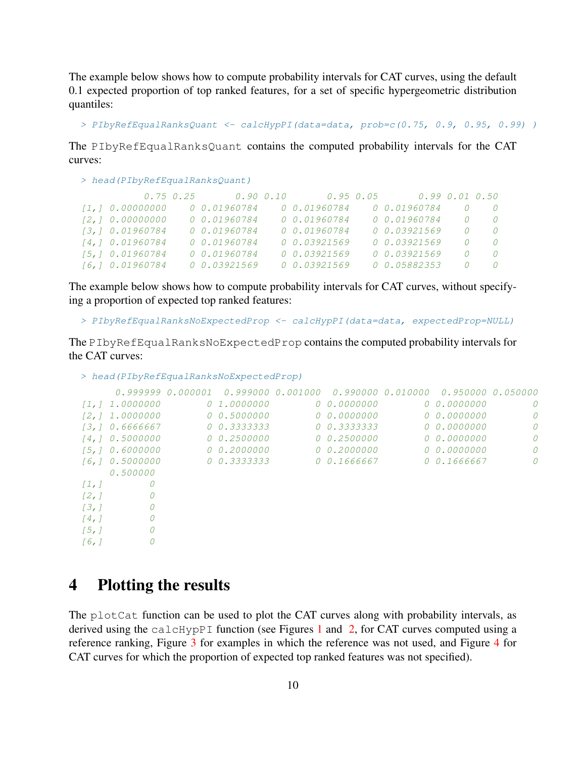The example below shows how to compute probability intervals for CAT curves, using the default 0.1 expected proportion of top ranked features, for a set of specific hypergeometric distribution quantiles:

> PIbyRefEqualRanksQuant <- calcHypPI(data=data, prob=c(0.75, 0.9, 0.95, 0.99))

The PIbyRefEqualRanksQuant contains the computed probability intervals for the CAT curves:

```
> head(PIbyRefEqualRanksQuant)
         0.75 0.25 0.90 0.10 0.95 0.05 0.99 0.01 0.50
[1,] 0.00000000 0 0.01960784 0 0.01960784 0 0.01960784 0 0
[2,] 0.00000000 0 0.01960784 0 0.01960784 0 0.01960784 0 0
[3,] 0.01960784 0 0.01960784 0 0.01960784 0 0.03921569 0 0
[4,] 0.01960784 0 0.01960784 0 0.03921569 0 0.03921569 0 0
[5,] 0.01960784 0 0.01960784 0 0.03921569 0 0.03921569 0 0
[6,] 0.01960784 0 0.03921569 0 0.03921569 0 0.05882353 0 0
```
The example below shows how to compute probability intervals for CAT curves, without specifying a proportion of expected top ranked features:

```
> PIbyRefEqualRanksNoExpectedProp <- calcHypPI(data=data, expectedProp=NULL)
```
The PIbyRefEqualRanksNoExpectedProp contains the computed probability intervals for the CAT curves:

```
> head(PIbyRefEqualRanksNoExpectedProp)
    0.999999 0.000001 0.999000 0.001000 0.990000 0.010000 0.950000 0.050000
[1,] 1.0000000 0 1.0000000 0 0.0000000 0 0.0000000 0
[2,] 1.0000000 0 0.5000000 0 0.0000000 0 0.0000000 0
[3,] 0.6666667 0 0.3333333 0 0.3333333 0 0.0000000 0
[4,] 0.5000000 0 0.2500000 0 0.2500000 0 0.0000000 0
[5,] 0.6000000 0 0.2000000 0 0.2000000 0 0.0000000 0
[6,] 0.5000000 0 0.3333333 0 0.1666667 0 0.1666667 0
   0.500000
[1,] 0
[2, 1 0
\begin{bmatrix} 3, & 1 \end{bmatrix} 0
[4, 1 0
[5, 1 0[6, 1 0
```
### <span id="page-9-0"></span>4 Plotting the results

The plotCat function can be used to plot the CAT curves along with probability intervals, as derived using the calcHypPI function (see Figures [1](#page-10-1) and [2,](#page-11-1) for CAT curves computed using a reference ranking, Figure [3](#page-12-1) for examples in which the reference was not used, and Figure [4](#page-13-1) for CAT curves for which the proportion of expected top ranked features was not specified).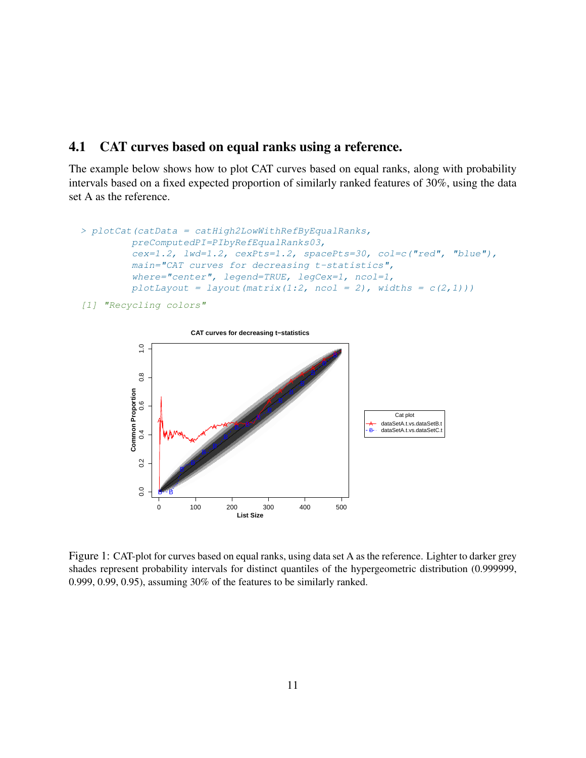#### <span id="page-10-0"></span>4.1 CAT curves based on equal ranks using a reference.

The example below shows how to plot CAT curves based on equal ranks, along with probability intervals based on a fixed expected proportion of similarly ranked features of 30%, using the data set A as the reference.

```
> plotCat(catData = catHigh2LowWithRefByEqualRanks,
         preComputedPI=PIbyRefEqualRanks03,
         cex=1.2, lwd=1.2, cexPts=1.2, spacePts=30, col=c("red", "blue"),
         main="CAT curves for decreasing t-statistics",
         where="center", legend=TRUE, legCex=1, ncol=1,
         plotLayout = layout (matrix (1:2, ncol = 2), widths = c(2,1)))
```
[1] "Recycling colors"



<span id="page-10-1"></span>Figure 1: CAT-plot for curves based on equal ranks, using data set A as the reference. Lighter to darker grey shades represent probability intervals for distinct quantiles of the hypergeometric distribution (0.999999, 0.999, 0.99, 0.95), assuming 30% of the features to be similarly ranked.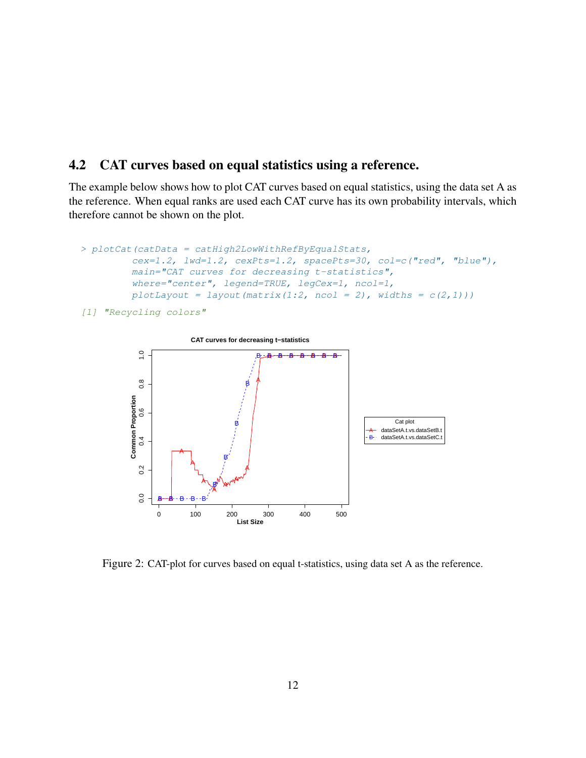#### <span id="page-11-0"></span>4.2 CAT curves based on equal statistics using a reference.

The example below shows how to plot CAT curves based on equal statistics, using the data set A as the reference. When equal ranks are used each CAT curve has its own probability intervals, which therefore cannot be shown on the plot.

```
> plotCat (catData = catHigh2LowWithRefByEqualStats,
         cex=1.2, lwd=1.2, cexPts=1.2, spacePts=30, col=c("red", "blue"),
         main="CAT curves for decreasing t-statistics",
         where="center", legend=TRUE, legCex=1, ncol=1,
        plotLayout = layout (matrix(1:2, ncol = 2), widths = c(2,1)))
```
[1] **"Recycling colors"** 



<span id="page-11-1"></span>Figure 2: CAT-plot for curves based on equal t-statistics, using data set A as the reference.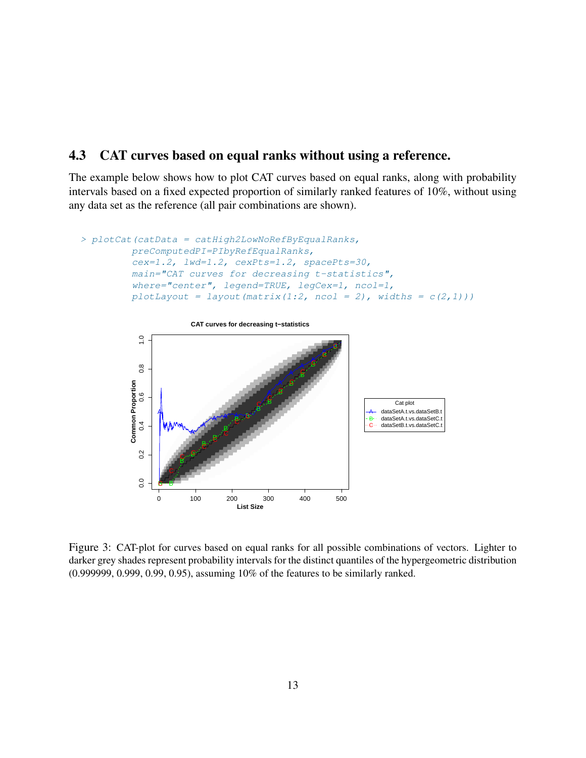#### <span id="page-12-0"></span>4.3 CAT curves based on equal ranks without using a reference.

The example below shows how to plot CAT curves based on equal ranks, along with probability intervals based on a fixed expected proportion of similarly ranked features of 10%, without using any data set as the reference (all pair combinations are shown).

```
> plotCat(catData = catHigh2LowNoRefByEqualRanks,
         preComputedPI=PIbyRefEqualRanks,
         cex=1.2, lwd=1.2, cexPts=1.2, spacePts=30,
         main="CAT curves for decreasing t-statistics",
         where="center", legend=TRUE, legCex=1, ncol=1,
         plotLayout = layout (\text{matrix}(1:2, \text{nool} = 2), \text{width} = c(2,1)))
```


<span id="page-12-1"></span>Figure 3: CAT-plot for curves based on equal ranks for all possible combinations of vectors. Lighter to darker grey shades represent probability intervals for the distinct quantiles of the hypergeometric distribution (0.999999, 0.999, 0.99, 0.95), assuming 10% of the features to be similarly ranked.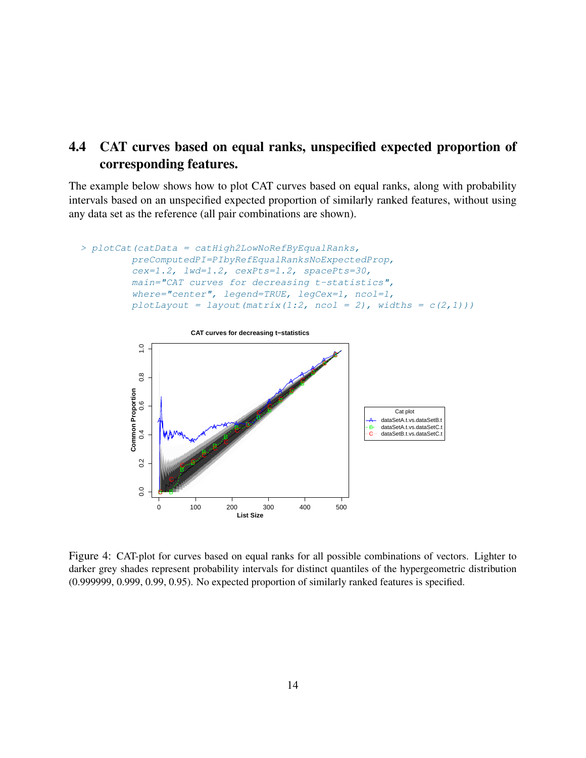### <span id="page-13-0"></span>4.4 CAT curves based on equal ranks, unspecified expected proportion of corresponding features.

The example below shows how to plot CAT curves based on equal ranks, along with probability intervals based on an unspecified expected proportion of similarly ranked features, without using any data set as the reference (all pair combinations are shown).

```
> plotCat(catData = catHigh2LowNoRefByEqualRanks,
         preComputedPI=PIbyRefEqualRanksNoExpectedProp,
         cex=1.2, lwd=1.2, cexPts=1.2, spacePts=30,
         main="CAT curves for decreasing t-statistics",
         where="center", legend=TRUE, legCex=1, ncol=1,
         plotLayout = layout (matrix(1:2, ncol = 2), widths = c(2,1)))
```


<span id="page-13-1"></span>Figure 4: CAT-plot for curves based on equal ranks for all possible combinations of vectors. Lighter to darker grey shades represent probability intervals for distinct quantiles of the hypergeometric distribution (0.999999, 0.999, 0.99, 0.95). No expected proportion of similarly ranked features is specified.